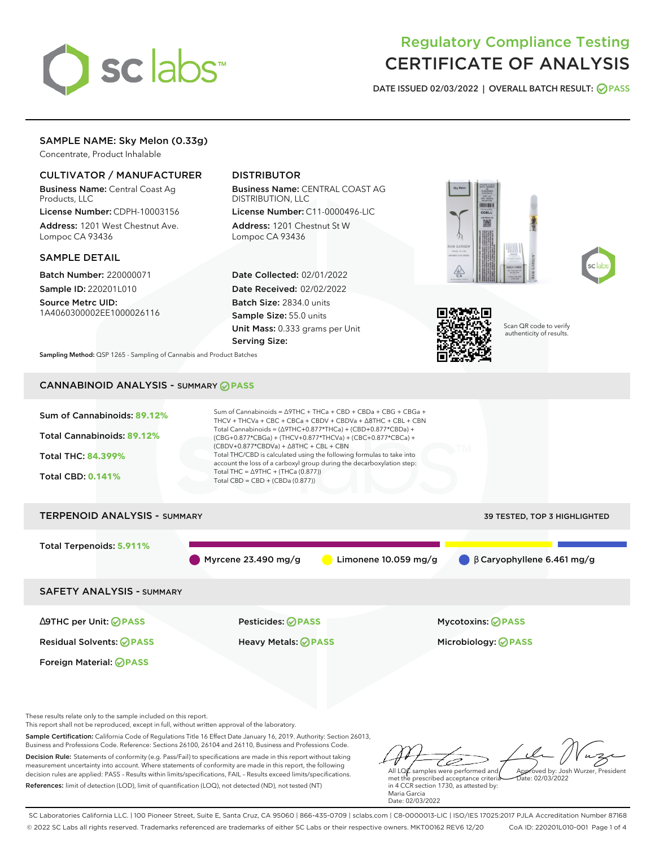

# Regulatory Compliance Testing CERTIFICATE OF ANALYSIS

**DATE ISSUED 02/03/2022 | OVERALL BATCH RESULT: PASS**

# SAMPLE NAME: Sky Melon (0.33g)

Concentrate, Product Inhalable

# CULTIVATOR / MANUFACTURER

Business Name: Central Coast Ag Products, LLC

License Number: CDPH-10003156 Address: 1201 West Chestnut Ave. Lompoc CA 93436

#### SAMPLE DETAIL

Batch Number: 220000071 Sample ID: 220201L010

Source Metrc UID: 1A4060300002EE1000026116

# DISTRIBUTOR

Business Name: CENTRAL COAST AG DISTRIBUTION, LLC License Number: C11-0000496-LIC

Address: 1201 Chestnut St W Lompoc CA 93436

Date Collected: 02/01/2022 Date Received: 02/02/2022 Batch Size: 2834.0 units Sample Size: 55.0 units Unit Mass: 0.333 grams per Unit Serving Size:







Scan QR code to verify authenticity of results.

**Sampling Method:** QSP 1265 - Sampling of Cannabis and Product Batches

# CANNABINOID ANALYSIS - SUMMARY **PASS**



Business and Professions Code. Reference: Sections 26100, 26104 and 26110, Business and Professions Code. Decision Rule: Statements of conformity (e.g. Pass/Fail) to specifications are made in this report without taking measurement uncertainty into account. Where statements of conformity are made in this report, the following decision rules are applied: PASS – Results within limits/specifications, FAIL – Results exceed limits/specifications. References: limit of detection (LOD), limit of quantification (LOQ), not detected (ND), not tested (NT)

ستنسخ All LQ $\ell$  samples were performed and Approved by: Josh Wurzer, President met the prescribed acceptance criteria  $ate: 02/03/2022$ 

in 4 CCR section 1730, as attested by: Maria Garcia Date: 02/03/2022

SC Laboratories California LLC. | 100 Pioneer Street, Suite E, Santa Cruz, CA 95060 | 866-435-0709 | sclabs.com | C8-0000013-LIC | ISO/IES 17025:2017 PJLA Accreditation Number 87168 © 2022 SC Labs all rights reserved. Trademarks referenced are trademarks of either SC Labs or their respective owners. MKT00162 REV6 12/20 CoA ID: 220201L010-001 Page 1 of 4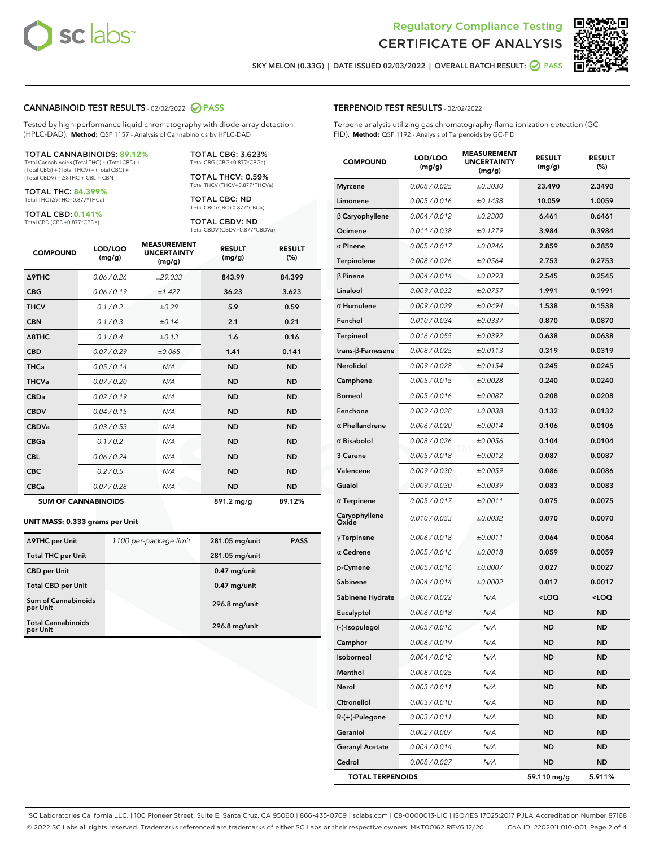



**SKY MELON (0.33G) | DATE ISSUED 02/03/2022 | OVERALL BATCH RESULT: PASS**

#### **CANNABINOID TEST RESULTS** - 02/02/2022 **PASS**

Tested by high-performance liquid chromatography with diode-array detection (HPLC-DAD). **Method:** QSP 1157 - Analysis of Cannabinoids by HPLC-DAD

#### TOTAL CANNABINOIDS: **89.12%**

Total Cannabinoids (Total THC) + (Total CBD) + (Total CBG) + (Total THCV) + (Total CBC) + (Total CBDV) + ∆8THC + CBL + CBN

TOTAL THC: **84.399%** Total THC (∆9THC+0.877\*THCa)

TOTAL CBD: **0.141%**

Total CBD (CBD+0.877\*CBDa)

TOTAL CBG: 3.623% Total CBG (CBG+0.877\*CBGa)

TOTAL THCV: 0.59% Total THCV (THCV+0.877\*THCVa)

TOTAL CBC: ND Total CBC (CBC+0.877\*CBCa)

TOTAL CBDV: ND Total CBDV (CBDV+0.877\*CBDVa)

| <b>COMPOUND</b>            | LOD/LOQ<br>(mg/g) | <b>MEASUREMENT</b><br><b>UNCERTAINTY</b><br>(mg/g) | <b>RESULT</b><br>(mg/g) | <b>RESULT</b><br>(%) |
|----------------------------|-------------------|----------------------------------------------------|-------------------------|----------------------|
| <b>A9THC</b>               | 0.06 / 0.26       | ±29.033                                            | 843.99                  | 84.399               |
| <b>CBG</b>                 | 0.06/0.19         | ±1.427                                             | 36.23                   | 3.623                |
| <b>THCV</b>                | 0.1 / 0.2         | ±0.29                                              | 5.9                     | 0.59                 |
| <b>CBN</b>                 | 0.1 / 0.3         | ±0.14                                              | 2.1                     | 0.21                 |
| $\triangle$ 8THC           | 0.1/0.4           | ±0.13                                              | 1.6                     | 0.16                 |
| <b>CBD</b>                 | 0.07/0.29         | ±0.065                                             | 1.41                    | 0.141                |
| <b>THCa</b>                | 0.05/0.14         | N/A                                                | <b>ND</b>               | <b>ND</b>            |
| <b>THCVa</b>               | 0.07/0.20         | N/A                                                | <b>ND</b>               | <b>ND</b>            |
| <b>CBDa</b>                | 0.02/0.19         | N/A                                                | <b>ND</b>               | <b>ND</b>            |
| <b>CBDV</b>                | 0.04/0.15         | N/A                                                | <b>ND</b>               | <b>ND</b>            |
| <b>CBDVa</b>               | 0.03/0.53         | N/A                                                | <b>ND</b>               | <b>ND</b>            |
| <b>CBGa</b>                | 0.1/0.2           | N/A                                                | <b>ND</b>               | <b>ND</b>            |
| <b>CBL</b>                 | 0.06 / 0.24       | N/A                                                | <b>ND</b>               | <b>ND</b>            |
| <b>CBC</b>                 | 0.2 / 0.5         | N/A                                                | <b>ND</b>               | <b>ND</b>            |
| <b>CBCa</b>                | 0.07 / 0.28       | N/A                                                | <b>ND</b>               | <b>ND</b>            |
| <b>SUM OF CANNABINOIDS</b> |                   |                                                    | 891.2 mg/g              | 89.12%               |

#### **UNIT MASS: 0.333 grams per Unit**

| ∆9THC per Unit                        | 1100 per-package limit | 281.05 mg/unit | <b>PASS</b> |
|---------------------------------------|------------------------|----------------|-------------|
| <b>Total THC per Unit</b>             |                        | 281.05 mg/unit |             |
| <b>CBD per Unit</b>                   |                        | $0.47$ mg/unit |             |
| <b>Total CBD per Unit</b>             |                        | $0.47$ mg/unit |             |
| Sum of Cannabinoids<br>per Unit       |                        | 296.8 mg/unit  |             |
| <b>Total Cannabinoids</b><br>per Unit |                        | 296.8 mg/unit  |             |

| <b>COMPOUND</b>          | LOD/LOQ<br>(mg/g) | ASUREM<br><b>UNCERTAINTY</b><br>(mq/q) | <b>RESULT</b><br>(mg/g)                         | <b>RESULT</b><br>$(\%)$ |
|--------------------------|-------------------|----------------------------------------|-------------------------------------------------|-------------------------|
| <b>Myrcene</b>           | 0.008 / 0.025     | ±0.3030                                | 23.490                                          | 2.3490                  |
| Limonene                 | 0.005 / 0.016     | ±0.1438                                | 10.059                                          | 1.0059                  |
| <b>B</b> Caryophyllene   | 0.004 / 0.012     | ±0.2300                                | 6.461                                           | 0.6461                  |
| Ocimene                  | 0.011 / 0.038     | ±0.1279                                | 3.984                                           | 0.3984                  |
| $\alpha$ Pinene          | 0.005 / 0.017     | ±0.0246                                | 2.859                                           | 0.2859                  |
| Terpinolene              | 0.008 / 0.026     | ±0.0564                                | 2.753                                           | 0.2753                  |
| $\beta$ Pinene           | 0.004 / 0.014     | ±0.0293                                | 2.545                                           | 0.2545                  |
| Linalool                 | 0.009 / 0.032     | ±0.0757                                | 1.991                                           | 0.1991                  |
| $\alpha$ Humulene        | 0.009 / 0.029     | ±0.0494                                | 1.538                                           | 0.1538                  |
| Fenchol                  | 0.010 / 0.034     | ±0.0337                                | 0.870                                           | 0.0870                  |
| <b>Terpineol</b>         | 0.016 / 0.055     | ±0.0392                                | 0.638                                           | 0.0638                  |
| $trans-\beta$ -Farnesene | 0.008 / 0.025     | ±0.0113                                | 0.319                                           | 0.0319                  |
| Nerolidol                | 0.009 / 0.028     | ±0.0154                                | 0.245                                           | 0.0245                  |
| Camphene                 | 0.005 / 0.015     | ±0.0028                                | 0.240                                           | 0.0240                  |
| <b>Borneol</b>           | 0.005 / 0.016     | ±0.0087                                | 0.208                                           | 0.0208                  |
| Fenchone                 | 0.009 / 0.028     | ±0.0038                                | 0.132                                           | 0.0132                  |
| $\alpha$ Phellandrene    | 0.006 / 0.020     | ±0.0014                                | 0.106                                           | 0.0106                  |
| $\alpha$ Bisabolol       | 0.008 / 0.026     | ±0.0056                                | 0.104                                           | 0.0104                  |
| 3 Carene                 | 0.005 / 0.018     | ±0.0012                                | 0.087                                           | 0.0087                  |
| Valencene                | 0.009 / 0.030     | ±0.0059                                | 0.086                                           | 0.0086                  |
| Guaiol                   | 0.009 / 0.030     | ±0.0039                                | 0.083                                           | 0.0083                  |
| $\alpha$ Terpinene       | 0.005 / 0.017     | ±0.0011                                | 0.075                                           | 0.0075                  |
| Caryophyllene<br>Oxide   | 0.010 / 0.033     | ±0.0032                                | 0.070                                           | 0.0070                  |
| $\gamma$ Terpinene       | 0.006 / 0.018     | ±0.0011                                | 0.064                                           | 0.0064                  |
| $\alpha$ Cedrene         | 0.005 / 0.016     | ±0.0018                                | 0.059                                           | 0.0059                  |
| p-Cymene                 | 0.005 / 0.016     | ±0.0007                                | 0.027                                           | 0.0027                  |
| Sabinene                 | 0.004 / 0.014     | ±0.0002                                | 0.017                                           | 0.0017                  |
| Sabinene Hydrate         | 0.006 / 0.022     | N/A                                    | <loq< th=""><th><loq< th=""></loq<></th></loq<> | <loq< th=""></loq<>     |
| Eucalyptol               | 0.006 / 0.018     | N/A                                    | ND                                              | <b>ND</b>               |
| (-)-Isopulegol           | 0.005 / 0.016     | N/A                                    | <b>ND</b>                                       | <b>ND</b>               |
| Camphor                  | 0.006 / 0.019     | N/A                                    | ND                                              | ND                      |
| Isoborneol               | 0.004 / 0.012     | N/A                                    | ND                                              | ND                      |
| Menthol                  | 0.008 / 0.025     | N/A                                    | <b>ND</b>                                       | <b>ND</b>               |
| Nerol                    | 0.003 / 0.011     | N/A                                    | ND                                              | ND                      |
| Citronellol              | 0.003 / 0.010     | N/A                                    | ND                                              | ND                      |
| R-(+)-Pulegone           | 0.003 / 0.011     | N/A                                    | ND                                              | ND                      |
| Geraniol                 | 0.002 / 0.007     | N/A                                    | ND                                              | ND                      |
| <b>Geranyl Acetate</b>   | 0.004 / 0.014     | N/A                                    | ND                                              | ND                      |
| Cedrol                   | 0.008 / 0.027     | N/A                                    | <b>ND</b>                                       | ND                      |
| <b>TOTAL TERPENOIDS</b>  |                   |                                        | 59.110 mg/g                                     | 5.911%                  |

SC Laboratories California LLC. | 100 Pioneer Street, Suite E, Santa Cruz, CA 95060 | 866-435-0709 | sclabs.com | C8-0000013-LIC | ISO/IES 17025:2017 PJLA Accreditation Number 87168 © 2022 SC Labs all rights reserved. Trademarks referenced are trademarks of either SC Labs or their respective owners. MKT00162 REV6 12/20 CoA ID: 220201L010-001 Page 2 of 4

# **TERPENOID TEST RESULTS** - 02/02/2022

Terpene analysis utilizing gas chromatography-flame ionization detection (GC-FID). **Method:** QSP 1192 - Analysis of Terpenoids by GC-FID

**MEASUREMENT**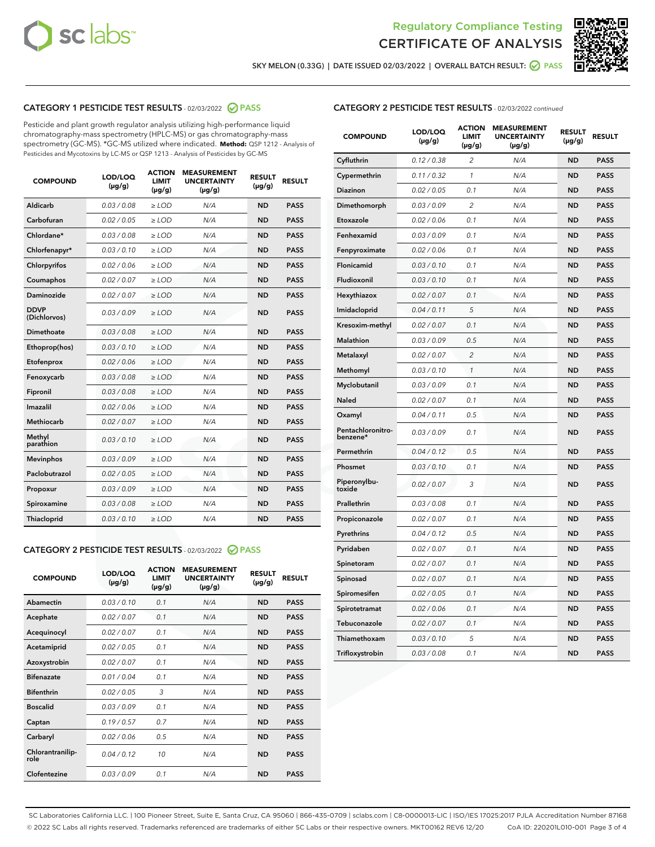



**SKY MELON (0.33G) | DATE ISSUED 02/03/2022 | OVERALL BATCH RESULT: PASS**

# **CATEGORY 1 PESTICIDE TEST RESULTS** - 02/03/2022 **PASS**

Pesticide and plant growth regulator analysis utilizing high-performance liquid chromatography-mass spectrometry (HPLC-MS) or gas chromatography-mass spectrometry (GC-MS). \*GC-MS utilized where indicated. **Method:** QSP 1212 - Analysis of Pesticides and Mycotoxins by LC-MS or QSP 1213 - Analysis of Pesticides by GC-MS

| <b>COMPOUND</b>             | LOD/LOQ<br>$(\mu g/g)$ | <b>ACTION</b><br><b>LIMIT</b><br>$(\mu g/g)$ | <b>MEASUREMENT</b><br><b>UNCERTAINTY</b><br>$(\mu g/g)$ | <b>RESULT</b><br>$(\mu g/g)$ | <b>RESULT</b> |
|-----------------------------|------------------------|----------------------------------------------|---------------------------------------------------------|------------------------------|---------------|
| Aldicarb                    | 0.03 / 0.08            | $\ge$ LOD                                    | N/A                                                     | <b>ND</b>                    | <b>PASS</b>   |
| Carbofuran                  | 0.02 / 0.05            | $\ge$ LOD                                    | N/A                                                     | <b>ND</b>                    | <b>PASS</b>   |
| Chlordane*                  | 0.03 / 0.08            | $>$ LOD                                      | N/A                                                     | <b>ND</b>                    | <b>PASS</b>   |
| Chlorfenapyr*               | 0.03/0.10              | $>$ LOD                                      | N/A                                                     | <b>ND</b>                    | <b>PASS</b>   |
| Chlorpyrifos                | 0.02 / 0.06            | $\ge$ LOD                                    | N/A                                                     | <b>ND</b>                    | <b>PASS</b>   |
| Coumaphos                   | 0.02 / 0.07            | $\ge$ LOD                                    | N/A                                                     | <b>ND</b>                    | <b>PASS</b>   |
| Daminozide                  | 0.02 / 0.07            | $\ge$ LOD                                    | N/A                                                     | <b>ND</b>                    | <b>PASS</b>   |
| <b>DDVP</b><br>(Dichlorvos) | 0.03/0.09              | $\ge$ LOD                                    | N/A                                                     | <b>ND</b>                    | <b>PASS</b>   |
| Dimethoate                  | 0.03 / 0.08            | $\ge$ LOD                                    | N/A                                                     | <b>ND</b>                    | <b>PASS</b>   |
| Ethoprop(hos)               | 0.03/0.10              | $>$ LOD                                      | N/A                                                     | <b>ND</b>                    | <b>PASS</b>   |
| Etofenprox                  | 0.02 / 0.06            | $\ge$ LOD                                    | N/A                                                     | <b>ND</b>                    | <b>PASS</b>   |
| Fenoxycarb                  | 0.03/0.08              | $\ge$ LOD                                    | N/A                                                     | <b>ND</b>                    | <b>PASS</b>   |
| Fipronil                    | 0.03/0.08              | $\ge$ LOD                                    | N/A                                                     | <b>ND</b>                    | <b>PASS</b>   |
| Imazalil                    | 0.02 / 0.06            | $\geq$ LOD                                   | N/A                                                     | <b>ND</b>                    | <b>PASS</b>   |
| Methiocarb                  | 0.02 / 0.07            | $\ge$ LOD                                    | N/A                                                     | <b>ND</b>                    | <b>PASS</b>   |
| Methyl<br>parathion         | 0.03/0.10              | $\ge$ LOD                                    | N/A                                                     | <b>ND</b>                    | <b>PASS</b>   |
| <b>Mevinphos</b>            | 0.03/0.09              | $\ge$ LOD                                    | N/A                                                     | <b>ND</b>                    | <b>PASS</b>   |
| Paclobutrazol               | 0.02 / 0.05            | $\ge$ LOD                                    | N/A                                                     | <b>ND</b>                    | <b>PASS</b>   |
| Propoxur                    | 0.03/0.09              | $\ge$ LOD                                    | N/A                                                     | <b>ND</b>                    | <b>PASS</b>   |
| Spiroxamine                 | 0.03 / 0.08            | $\ge$ LOD                                    | N/A                                                     | <b>ND</b>                    | <b>PASS</b>   |
| Thiacloprid                 | 0.03/0.10              | $\ge$ LOD                                    | N/A                                                     | <b>ND</b>                    | <b>PASS</b>   |

#### **CATEGORY 2 PESTICIDE TEST RESULTS** - 02/03/2022 **PASS**

| <b>COMPOUND</b>          | LOD/LOO<br>$(\mu g/g)$ | <b>ACTION</b><br>LIMIT<br>$(\mu g/g)$ | <b>MEASUREMENT</b><br><b>UNCERTAINTY</b><br>$(\mu g/g)$ | <b>RESULT</b><br>$(\mu g/g)$ | <b>RESULT</b> |  |
|--------------------------|------------------------|---------------------------------------|---------------------------------------------------------|------------------------------|---------------|--|
| Abamectin                | 0.03/0.10              | 0.1                                   | N/A                                                     | <b>ND</b>                    | <b>PASS</b>   |  |
| Acephate                 | 0.02/0.07              | 0.1                                   | N/A                                                     | <b>ND</b>                    | <b>PASS</b>   |  |
| Acequinocyl              | 0.02/0.07              | 0.1                                   | N/A                                                     | <b>ND</b>                    | <b>PASS</b>   |  |
| Acetamiprid              | 0.02 / 0.05            | 0.1                                   | N/A                                                     | <b>ND</b>                    | <b>PASS</b>   |  |
| Azoxystrobin             | 0.02/0.07              | 0.1                                   | N/A                                                     | <b>ND</b>                    | <b>PASS</b>   |  |
| <b>Bifenazate</b>        | 0.01 / 0.04            | 0.1                                   | N/A                                                     | <b>ND</b>                    | <b>PASS</b>   |  |
| <b>Bifenthrin</b>        | 0.02 / 0.05            | 3                                     | N/A                                                     | <b>ND</b>                    | <b>PASS</b>   |  |
| <b>Boscalid</b>          | 0.03/0.09              | 0.1                                   | N/A                                                     | <b>ND</b>                    | <b>PASS</b>   |  |
| Captan                   | 0.19/0.57              | 0.7                                   | N/A                                                     | <b>ND</b>                    | <b>PASS</b>   |  |
| Carbaryl                 | 0.02/0.06              | 0.5                                   | N/A                                                     | <b>ND</b>                    | <b>PASS</b>   |  |
| Chlorantranilip-<br>role | 0.04/0.12              | 10                                    | N/A                                                     | <b>ND</b>                    | <b>PASS</b>   |  |
| Clofentezine             | 0.03/0.09              | 0.1                                   | N/A                                                     | <b>ND</b>                    | <b>PASS</b>   |  |

| <b>CATEGORY 2 PESTICIDE TEST RESULTS</b> - 02/03/2022 continued |  |
|-----------------------------------------------------------------|--|
|                                                                 |  |

| <b>COMPOUND</b>               | LOD/LOQ<br>$(\mu g/g)$ | <b>ACTION</b><br>LIMIT<br>(µg/g) | <b>MEASUREMENT</b><br><b>UNCERTAINTY</b><br>$(\mu g/g)$ | <b>RESULT</b><br>$(\mu g/g)$ | <b>RESULT</b> |
|-------------------------------|------------------------|----------------------------------|---------------------------------------------------------|------------------------------|---------------|
| Cyfluthrin                    | 0.12 / 0.38            | $\overline{c}$                   | N/A                                                     | <b>ND</b>                    | <b>PASS</b>   |
| Cypermethrin                  | 0.11 / 0.32            | 1                                | N/A                                                     | <b>ND</b>                    | <b>PASS</b>   |
| Diazinon                      | 0.02 / 0.05            | 0.1                              | N/A                                                     | ND                           | <b>PASS</b>   |
| Dimethomorph                  | 0.03 / 0.09            | $\overline{2}$                   | N/A                                                     | <b>ND</b>                    | <b>PASS</b>   |
| Etoxazole                     | 0.02 / 0.06            | 0.1                              | N/A                                                     | <b>ND</b>                    | <b>PASS</b>   |
| Fenhexamid                    | 0.03 / 0.09            | 0.1                              | N/A                                                     | <b>ND</b>                    | <b>PASS</b>   |
| Fenpyroximate                 | 0.02 / 0.06            | 0.1                              | N/A                                                     | ND                           | <b>PASS</b>   |
| Flonicamid                    | 0.03 / 0.10            | 0.1                              | N/A                                                     | ND                           | <b>PASS</b>   |
| Fludioxonil                   | 0.03 / 0.10            | 0.1                              | N/A                                                     | <b>ND</b>                    | <b>PASS</b>   |
| Hexythiazox                   | 0.02 / 0.07            | 0.1                              | N/A                                                     | ND                           | <b>PASS</b>   |
| Imidacloprid                  | 0.04 / 0.11            | 5                                | N/A                                                     | ND                           | <b>PASS</b>   |
| Kresoxim-methyl               | 0.02 / 0.07            | 0.1                              | N/A                                                     | ND                           | <b>PASS</b>   |
| Malathion                     | 0.03 / 0.09            | 0.5                              | N/A                                                     | <b>ND</b>                    | <b>PASS</b>   |
| Metalaxyl                     | 0.02 / 0.07            | $\overline{c}$                   | N/A                                                     | ND                           | <b>PASS</b>   |
| Methomyl                      | 0.03 / 0.10            | $\mathcal{I}$                    | N/A                                                     | <b>ND</b>                    | <b>PASS</b>   |
| Myclobutanil                  | 0.03 / 0.09            | 0.1                              | N/A                                                     | <b>ND</b>                    | <b>PASS</b>   |
| Naled                         | 0.02 / 0.07            | 0.1                              | N/A                                                     | ND                           | <b>PASS</b>   |
| Oxamyl                        | 0.04 / 0.11            | 0.5                              | N/A                                                     | ND                           | <b>PASS</b>   |
| Pentachloronitro-<br>benzene* | 0.03 / 0.09            | 0.1                              | N/A                                                     | ND                           | <b>PASS</b>   |
| Permethrin                    | 0.04 / 0.12            | 0.5                              | N/A                                                     | <b>ND</b>                    | <b>PASS</b>   |
| Phosmet                       | 0.03 / 0.10            | 0.1                              | N/A                                                     | <b>ND</b>                    | <b>PASS</b>   |
| Piperonylbu-<br>toxide        | 0.02 / 0.07            | 3                                | N/A                                                     | <b>ND</b>                    | <b>PASS</b>   |
| Prallethrin                   | 0.03 / 0.08            | 0.1                              | N/A                                                     | ND                           | <b>PASS</b>   |
| Propiconazole                 | 0.02 / 0.07            | 0.1                              | N/A                                                     | <b>ND</b>                    | <b>PASS</b>   |
| Pyrethrins                    | 0.04 / 0.12            | 0.5                              | N/A                                                     | <b>ND</b>                    | <b>PASS</b>   |
| Pyridaben                     | 0.02 / 0.07            | 0.1                              | N/A                                                     | ND                           | <b>PASS</b>   |
| Spinetoram                    | 0.02 / 0.07            | 0.1                              | N/A                                                     | <b>ND</b>                    | <b>PASS</b>   |
| Spinosad                      | 0.02 / 0.07            | 0.1                              | N/A                                                     | ND                           | <b>PASS</b>   |
| Spiromesifen                  | 0.02 / 0.05            | 0.1                              | N/A                                                     | ND                           | <b>PASS</b>   |
| Spirotetramat                 | 0.02 / 0.06            | 0.1                              | N/A                                                     | ND                           | <b>PASS</b>   |
| Tebuconazole                  | 0.02 / 0.07            | 0.1                              | N/A                                                     | ND                           | <b>PASS</b>   |
| Thiamethoxam                  | 0.03 / 0.10            | 5                                | N/A                                                     | ND                           | <b>PASS</b>   |
| Trifloxystrobin               | 0.03 / 0.08            | 0.1                              | N/A                                                     | ND                           | <b>PASS</b>   |

SC Laboratories California LLC. | 100 Pioneer Street, Suite E, Santa Cruz, CA 95060 | 866-435-0709 | sclabs.com | C8-0000013-LIC | ISO/IES 17025:2017 PJLA Accreditation Number 87168 © 2022 SC Labs all rights reserved. Trademarks referenced are trademarks of either SC Labs or their respective owners. MKT00162 REV6 12/20 CoA ID: 220201L010-001 Page 3 of 4